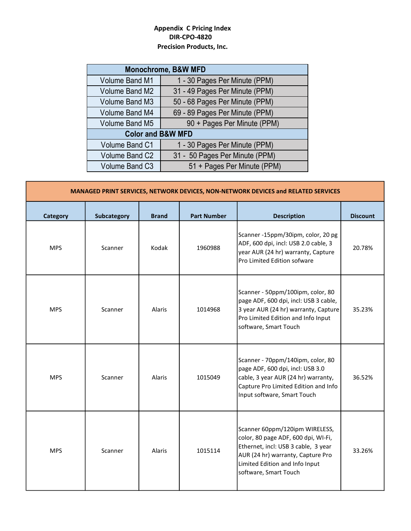## Appendix C Pricing Index DIR-CPO-4820 Precision Products, Inc.

|                              | <b>Monochrome, B&amp;W MFD</b> |  |  |  |  |  |
|------------------------------|--------------------------------|--|--|--|--|--|
| <b>Volume Band M1</b>        | 1 - 30 Pages Per Minute (PPM)  |  |  |  |  |  |
| Volume Band M2               | 31 - 49 Pages Per Minute (PPM) |  |  |  |  |  |
| Volume Band M3               | 50 - 68 Pages Per Minute (PPM) |  |  |  |  |  |
| Volume Band M4               | 69 - 89 Pages Per Minute (PPM) |  |  |  |  |  |
| <b>Volume Band M5</b>        | 90 + Pages Per Minute (PPM)    |  |  |  |  |  |
| <b>Color and B&amp;W MFD</b> |                                |  |  |  |  |  |
| Volume Band C1               | 1 - 30 Pages Per Minute (PPM)  |  |  |  |  |  |
| Volume Band C2               | 31 - 50 Pages Per Minute (PPM) |  |  |  |  |  |
| Volume Band C3               | 51 + Pages Per Minute (PPM)    |  |  |  |  |  |

| MANAGED PRINT SERVICES, NETWORK DEVICES, NON-NETWORK DEVICES and RELATED SERVICES |                    |              |                    |                                                                                                                                                                                                              |                 |  |
|-----------------------------------------------------------------------------------|--------------------|--------------|--------------------|--------------------------------------------------------------------------------------------------------------------------------------------------------------------------------------------------------------|-----------------|--|
| <b>Category</b>                                                                   | <b>Subcategory</b> | <b>Brand</b> | <b>Part Number</b> | <b>Description</b>                                                                                                                                                                                           | <b>Discount</b> |  |
| <b>MPS</b>                                                                        | Scanner            | Kodak        | 1960988            | Scanner -15ppm/30ipm, color, 20 pg<br>ADF, 600 dpi, incl: USB 2.0 cable, 3<br>year AUR (24 hr) warranty, Capture<br>Pro Limited Edition sofware                                                              | 20.78%          |  |
| <b>MPS</b>                                                                        | Scanner            | Alaris       | 1014968            | Scanner - 50ppm/100ipm, color, 80<br>page ADF, 600 dpi, incl: USB 3 cable,<br>3 year AUR (24 hr) warranty, Capture<br>Pro Limited Edition and Info Input<br>software, Smart Touch                            | 35.23%          |  |
| <b>MPS</b>                                                                        | Scanner            | Alaris       | 1015049            | Scanner - 70ppm/140ipm, color, 80<br>page ADF, 600 dpi, incl: USB 3.0<br>cable, 3 year AUR (24 hr) warranty,<br>Capture Pro Limited Edition and Info<br>Input software, Smart Touch                          | 36.52%          |  |
| <b>MPS</b>                                                                        | Scanner            | Alaris       | 1015114            | Scanner 60ppm/120ipm WIRELESS,<br>color, 80 page ADF, 600 dpi, WI-Fi,<br>Ethernet, incl: USB 3 cable, 3 year<br>AUR (24 hr) warranty, Capture Pro<br>Limited Edition and Info Input<br>software, Smart Touch | 33.26%          |  |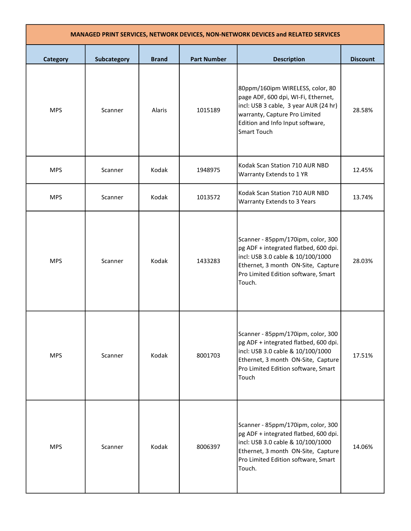| MANAGED PRINT SERVICES, NETWORK DEVICES, NON-NETWORK DEVICES and RELATED SERVICES |             |              |                    |                                                                                                                                                                                                             |                 |
|-----------------------------------------------------------------------------------|-------------|--------------|--------------------|-------------------------------------------------------------------------------------------------------------------------------------------------------------------------------------------------------------|-----------------|
| Category                                                                          | Subcategory | <b>Brand</b> | <b>Part Number</b> | <b>Description</b>                                                                                                                                                                                          | <b>Discount</b> |
| <b>MPS</b>                                                                        | Scanner     | Alaris       | 1015189            | 80ppm/160ipm WIRELESS, color, 80<br>page ADF, 600 dpi, WI-Fi, Ethernet,<br>incl: USB 3 cable, 3 year AUR (24 hr)<br>warranty, Capture Pro Limited<br>Edition and Info Input software,<br><b>Smart Touch</b> | 28.58%          |
| <b>MPS</b>                                                                        | Scanner     | Kodak        | 1948975            | Kodak Scan Station 710 AUR NBD<br>Warranty Extends to 1 YR                                                                                                                                                  | 12.45%          |
| <b>MPS</b>                                                                        | Scanner     | Kodak        | 1013572            | Kodak Scan Station 710 AUR NBD<br>Warranty Extends to 3 Years                                                                                                                                               | 13.74%          |
| <b>MPS</b>                                                                        | Scanner     | Kodak        | 1433283            | Scanner - 85ppm/170ipm, color, 300<br>pg ADF + integrated flatbed, 600 dpi.<br>incl: USB 3.0 cable & 10/100/1000<br>Ethernet, 3 month ON-Site, Capture<br>Pro Limited Edition software, Smart<br>Touch.     | 28.03%          |
| <b>MPS</b>                                                                        | Scanner     | Kodak        | 8001703            | Scanner - 85ppm/170ipm, color, 300<br>pg ADF + integrated flatbed, 600 dpi.<br>incl: USB 3.0 cable & 10/100/1000<br>Ethernet, 3 month ON-Site, Capture<br>Pro Limited Edition software, Smart<br>Touch      | 17.51%          |
| <b>MPS</b>                                                                        | Scanner     | Kodak        | 8006397            | Scanner - 85ppm/170ipm, color, 300<br>pg ADF + integrated flatbed, 600 dpi.<br>incl: USB 3.0 cable & 10/100/1000<br>Ethernet, 3 month ON-Site, Capture<br>Pro Limited Edition software, Smart<br>Touch.     | 14.06%          |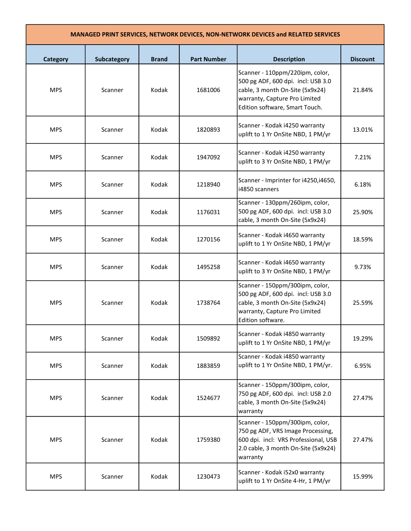| <b>MANAGED PRINT SERVICES, NETWORK DEVICES, NON-NETWORK DEVICES and RELATED SERVICES</b> |             |              |                    |                                                                                                                                                                             |                 |
|------------------------------------------------------------------------------------------|-------------|--------------|--------------------|-----------------------------------------------------------------------------------------------------------------------------------------------------------------------------|-----------------|
| <b>Category</b>                                                                          | Subcategory | <b>Brand</b> | <b>Part Number</b> | <b>Description</b>                                                                                                                                                          | <b>Discount</b> |
| <b>MPS</b>                                                                               | Scanner     | Kodak        | 1681006            | Scanner - 110ppm/220ipm, color,<br>500 pg ADF, 600 dpi. incl: USB 3.0<br>cable, 3 month On-Site (5x9x24)<br>warranty, Capture Pro Limited<br>Edition software, Smart Touch. | 21.84%          |
| <b>MPS</b>                                                                               | Scanner     | Kodak        | 1820893            | Scanner - Kodak i4250 warranty<br>uplift to 1 Yr OnSite NBD, 1 PM/yr                                                                                                        | 13.01%          |
| <b>MPS</b>                                                                               | Scanner     | Kodak        | 1947092            | Scanner - Kodak i4250 warranty<br>uplift to 3 Yr OnSite NBD, 1 PM/yr                                                                                                        | 7.21%           |
| <b>MPS</b>                                                                               | Scanner     | Kodak        | 1218940            | Scanner - Imprinter for i4250, i4650,<br>i4850 scanners                                                                                                                     | 6.18%           |
| <b>MPS</b>                                                                               | Scanner     | Kodak        | 1176031            | Scanner - 130ppm/260ipm, color,<br>500 pg ADF, 600 dpi. incl: USB 3.0<br>cable, 3 month On-Site (5x9x24)                                                                    | 25.90%          |
| <b>MPS</b>                                                                               | Scanner     | Kodak        | 1270156            | Scanner - Kodak i4650 warranty<br>uplift to 1 Yr OnSite NBD, 1 PM/yr                                                                                                        | 18.59%          |
| <b>MPS</b>                                                                               | Scanner     | Kodak        | 1495258            | Scanner - Kodak i4650 warranty<br>uplift to 3 Yr OnSite NBD, 1 PM/yr                                                                                                        | 9.73%           |
| <b>MPS</b>                                                                               | Scanner     | Kodak        | 1738764            | Scanner - 150ppm/300ipm, color,<br>500 pg ADF, 600 dpi. incl: USB 3.0<br>cable, 3 month On-Site (5x9x24)<br>warranty, Capture Pro Limited<br>Edition software.              | 25.59%          |
| <b>MPS</b>                                                                               | Scanner     | Kodak        | 1509892            | Scanner - Kodak i4850 warranty<br>uplift to 1 Yr OnSite NBD, 1 PM/yr                                                                                                        | 19.29%          |
| <b>MPS</b>                                                                               | Scanner     | Kodak        | 1883859            | Scanner - Kodak i4850 warranty<br>uplift to 1 Yr OnSite NBD, 1 PM/yr.                                                                                                       | 6.95%           |
| <b>MPS</b>                                                                               | Scanner     | Kodak        | 1524677            | Scanner - 150ppm/300ipm, color,<br>750 pg ADF, 600 dpi. incl: USB 2.0<br>cable, 3 month On-Site (5x9x24)<br>warranty                                                        | 27.47%          |
| <b>MPS</b>                                                                               | Scanner     | Kodak        | 1759380            | Scanner - 150ppm/300ipm, color,<br>750 pg ADF, VRS Image Processing,<br>600 dpi. incl: VRS Professional, USB<br>2.0 cable, 3 month On-Site (5x9x24)<br>warranty             | 27.47%          |
| <b>MPS</b>                                                                               | Scanner     | Kodak        | 1230473            | Scanner - Kodak i52x0 warranty<br>uplift to 1 Yr OnSite 4-Hr, 1 PM/yr                                                                                                       | 15.99%          |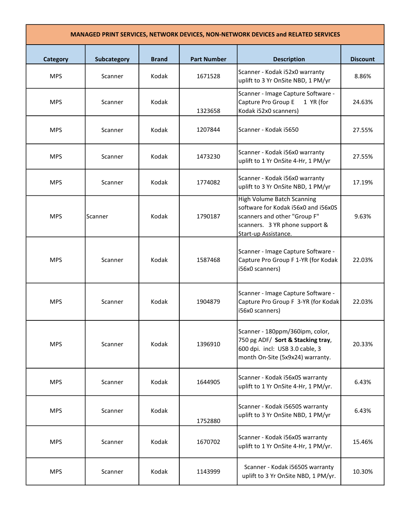| <b>Category</b> | Subcategory | <b>Brand</b> | <b>Part Number</b> | <b>Description</b>                                                                                                                                                 | <b>Discount</b> |
|-----------------|-------------|--------------|--------------------|--------------------------------------------------------------------------------------------------------------------------------------------------------------------|-----------------|
| <b>MPS</b>      | Scanner     | Kodak        | 1671528            | Scanner - Kodak i52x0 warranty<br>uplift to 3 Yr OnSite NBD, 1 PM/yr                                                                                               | 8.86%           |
| <b>MPS</b>      | Scanner     | Kodak        | 1323658            | Scanner - Image Capture Software -<br>Capture Pro Group E<br>1 YR (for<br>Kodak i52x0 scanners)                                                                    | 24.63%          |
| <b>MPS</b>      | Scanner     | Kodak        | 1207844            | Scanner - Kodak i5650                                                                                                                                              | 27.55%          |
| <b>MPS</b>      | Scanner     | Kodak        | 1473230            | Scanner - Kodak i56x0 warranty<br>uplift to 1 Yr OnSite 4-Hr, 1 PM/yr                                                                                              | 27.55%          |
| <b>MPS</b>      | Scanner     | Kodak        | 1774082            | Scanner - Kodak i56x0 warranty<br>uplift to 3 Yr OnSite NBD, 1 PM/yr                                                                                               | 17.19%          |
| <b>MPS</b>      | Scanner     | Kodak        | 1790187            | <b>High Volume Batch Scanning</b><br>software for Kodak i56x0 and i56x0S<br>scanners and other "Group F"<br>scanners. 3 YR phone support &<br>Start-up Assistance. | 9.63%           |
| <b>MPS</b>      | Scanner     | Kodak        | 1587468            | Scanner - Image Capture Software -<br>Capture Pro Group F 1-YR (for Kodak<br>i56x0 scanners)                                                                       | 22.03%          |
| <b>MPS</b>      | Scanner     | Kodak        | 1904879            | Scanner - Image Capture Software -<br>Capture Pro Group F 3-YR (for Kodak<br>i56x0 scanners)                                                                       | 22.03%          |
| <b>MPS</b>      | Scanner     | Kodak        | 1396910            | Scanner - 180ppm/360ipm, color,<br>750 pg ADF/ Sort & Stacking tray,<br>600 dpi. incl: USB 3.0 cable, 3<br>month On-Site (5x9x24) warranty.                        | 20.33%          |
| <b>MPS</b>      | Scanner     | Kodak        | 1644905            | Scanner - Kodak i56x0S warranty<br>uplift to 1 Yr OnSite 4-Hr, 1 PM/yr.                                                                                            | 6.43%           |
| <b>MPS</b>      | Scanner     | Kodak        | 1752880            | Scanner - Kodak i5650S warranty<br>uplift to 3 Yr OnSite NBD, 1 PM/yr                                                                                              | 6.43%           |
| <b>MPS</b>      | Scanner     | Kodak        | 1670702            | Scanner - Kodak i56x0S warranty<br>uplift to 1 Yr OnSite 4-Hr, 1 PM/yr.                                                                                            | 15.46%          |
| <b>MPS</b>      | Scanner     | Kodak        | 1143999            | Scanner - Kodak i5650S warranty<br>uplift to 3 Yr OnSite NBD, 1 PM/yr.                                                                                             | 10.30%          |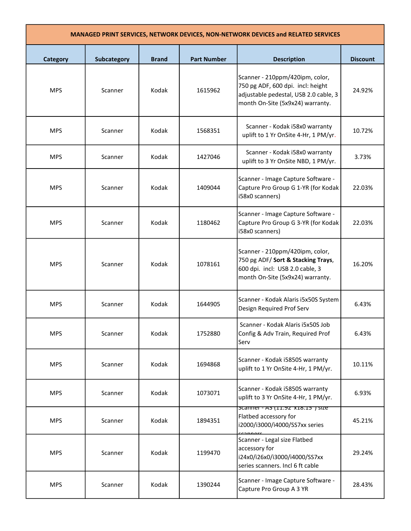| <b>MANAGED PRINT SERVICES, NETWORK DEVICES, NON-NETWORK DEVICES and RELATED SERVICES</b> |                    |              |                    |                                                                                                                                                   |                 |
|------------------------------------------------------------------------------------------|--------------------|--------------|--------------------|---------------------------------------------------------------------------------------------------------------------------------------------------|-----------------|
| <b>Category</b>                                                                          | <b>Subcategory</b> | <b>Brand</b> | <b>Part Number</b> | <b>Description</b>                                                                                                                                | <b>Discount</b> |
| <b>MPS</b>                                                                               | Scanner            | Kodak        | 1615962            | Scanner - 210ppm/420ipm, color,<br>750 pg ADF, 600 dpi. incl: height<br>adjustable pedestal, USB 2.0 cable, 3<br>month On-Site (5x9x24) warranty. | 24.92%          |
| <b>MPS</b>                                                                               | Scanner            | Kodak        | 1568351            | Scanner - Kodak i58x0 warranty<br>uplift to 1 Yr OnSite 4-Hr, 1 PM/yr.                                                                            | 10.72%          |
| <b>MPS</b>                                                                               | Scanner            | Kodak        | 1427046            | Scanner - Kodak i58x0 warranty<br>uplift to 3 Yr OnSite NBD, 1 PM/yr.                                                                             | 3.73%           |
| <b>MPS</b>                                                                               | Scanner            | Kodak        | 1409044            | Scanner - Image Capture Software -<br>Capture Pro Group G 1-YR (for Kodak<br>i58x0 scanners)                                                      | 22.03%          |
| <b>MPS</b>                                                                               | Scanner            | Kodak        | 1180462            | Scanner - Image Capture Software -<br>Capture Pro Group G 3-YR (for Kodak<br>i58x0 scanners)                                                      | 22.03%          |
| <b>MPS</b>                                                                               | Scanner            | Kodak        | 1078161            | Scanner - 210ppm/420ipm, color,<br>750 pg ADF/ Sort & Stacking Trays,<br>600 dpi. incl: USB 2.0 cable, 3<br>month On-Site (5x9x24) warranty.      | 16.20%          |
| <b>MPS</b>                                                                               | Scanner            | Kodak        | 1644905            | Scanner - Kodak Alaris i5x50S System<br>Design Required Prof Serv                                                                                 | 6.43%           |
| <b>MPS</b>                                                                               | Scanner            | Kodak        | 1752880            | Scanner - Kodak Alaris i5x50S Job<br>Config & Adv Train, Required Prof<br>Serv                                                                    | 6.43%           |
| <b>MPS</b>                                                                               | Scanner            | Kodak        | 1694868            | Scanner - Kodak i5850S warranty<br>uplift to 1 Yr OnSite 4-Hr, 1 PM/yr.                                                                           | 10.11%          |
| <b>MPS</b>                                                                               | Scanner            | Kodak        | 1073071            | Scanner - Kodak i5850S warranty<br>uplift to 3 Yr OnSite 4-Hr, 1 PM/yr.                                                                           | 6.93%           |
| <b>MPS</b>                                                                               | Scanner            | Kodak        | 1894351            | scanner - A3 (11.92 X18.15) size<br>Flatbed accessory for<br>i2000/i3000/i4000/SS7xx series<br>connors                                            | 45.21%          |
| <b>MPS</b>                                                                               | Scanner            | Kodak        | 1199470            | Scanner - Legal size Flatbed<br>accessory for<br>i24x0/i26x0/i3000/i4000/SS7xx<br>series scanners. Incl 6 ft cable                                | 29.24%          |
| <b>MPS</b>                                                                               | Scanner            | Kodak        | 1390244            | Scanner - Image Capture Software -<br>Capture Pro Group A 3 YR                                                                                    | 28.43%          |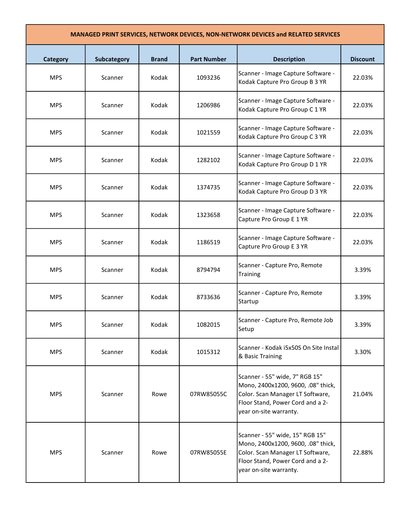| MANAGED PRINT SERVICES, NETWORK DEVICES, NON-NETWORK DEVICES and RELATED SERVICES |             |              |                    |                                                                                                                                                                         |                 |
|-----------------------------------------------------------------------------------|-------------|--------------|--------------------|-------------------------------------------------------------------------------------------------------------------------------------------------------------------------|-----------------|
| <b>Category</b>                                                                   | Subcategory | <b>Brand</b> | <b>Part Number</b> | <b>Description</b>                                                                                                                                                      | <b>Discount</b> |
| <b>MPS</b>                                                                        | Scanner     | Kodak        | 1093236            | Scanner - Image Capture Software -<br>Kodak Capture Pro Group B 3 YR                                                                                                    | 22.03%          |
| <b>MPS</b>                                                                        | Scanner     | Kodak        | 1206986            | Scanner - Image Capture Software -<br>Kodak Capture Pro Group C 1 YR                                                                                                    | 22.03%          |
| <b>MPS</b>                                                                        | Scanner     | Kodak        | 1021559            | Scanner - Image Capture Software -<br>Kodak Capture Pro Group C 3 YR                                                                                                    | 22.03%          |
| <b>MPS</b>                                                                        | Scanner     | Kodak        | 1282102            | Scanner - Image Capture Software -<br>Kodak Capture Pro Group D 1 YR                                                                                                    | 22.03%          |
| <b>MPS</b>                                                                        | Scanner     | Kodak        | 1374735            | Scanner - Image Capture Software -<br>Kodak Capture Pro Group D 3 YR                                                                                                    | 22.03%          |
| <b>MPS</b>                                                                        | Scanner     | Kodak        | 1323658            | Scanner - Image Capture Software -<br>Capture Pro Group E 1 YR                                                                                                          | 22.03%          |
| <b>MPS</b>                                                                        | Scanner     | Kodak        | 1186519            | Scanner - Image Capture Software -<br>Capture Pro Group E 3 YR                                                                                                          | 22.03%          |
| <b>MPS</b>                                                                        | Scanner     | Kodak        | 8794794            | Scanner - Capture Pro, Remote<br>Training                                                                                                                               | 3.39%           |
| <b>MPS</b>                                                                        | Scanner     | Kodak        | 8733636            | Scanner - Capture Pro, Remote<br>Startup                                                                                                                                | 3.39%           |
| <b>MPS</b>                                                                        | Scanner     | Kodak        | 1082015            | Scanner - Capture Pro, Remote Job<br>Setup                                                                                                                              | 3.39%           |
| <b>MPS</b>                                                                        | Scanner     | Kodak        | 1015312            | Scanner - Kodak i5x50S On Site Instal<br>& Basic Training                                                                                                               | 3.30%           |
| <b>MPS</b>                                                                        | Scanner     | Rowe         | 07RW85055C         | Scanner - 55" wide, 7" RGB 15"<br>Mono, 2400x1200, 9600, .08" thick,<br>Color. Scan Manager LT Software,<br>Floor Stand, Power Cord and a 2-<br>year on-site warranty.  | 21.04%          |
| <b>MPS</b>                                                                        | Scanner     | Rowe         | 07RW85055E         | Scanner - 55" wide, 15" RGB 15"<br>Mono, 2400x1200, 9600, .08" thick,<br>Color. Scan Manager LT Software,<br>Floor Stand, Power Cord and a 2-<br>year on-site warranty. | 22.88%          |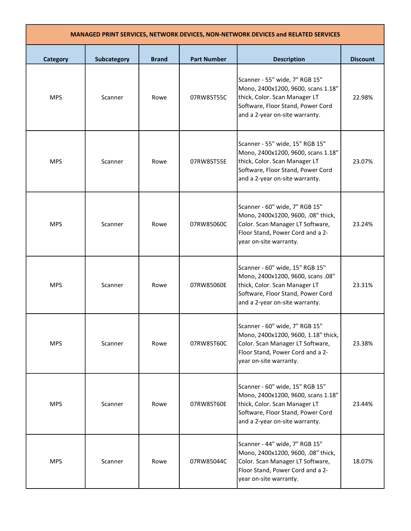| MANAGED PRINT SERVICES, NETWORK DEVICES, NON-NETWORK DEVICES and RELATED SERVICES |                    |              |                    |                                                                                                                                                                               |                 |  |
|-----------------------------------------------------------------------------------|--------------------|--------------|--------------------|-------------------------------------------------------------------------------------------------------------------------------------------------------------------------------|-----------------|--|
| <b>Category</b>                                                                   | <b>Subcategory</b> | <b>Brand</b> | <b>Part Number</b> | <b>Description</b>                                                                                                                                                            | <b>Discount</b> |  |
| <b>MPS</b>                                                                        | Scanner            | Rowe         | 07RW85T55C         | Scanner - 55" wide, 7" RGB 15"<br>Mono, 2400x1200, 9600, scans 1.18"<br>thick, Color. Scan Manager LT<br>Software, Floor Stand, Power Cord<br>and a 2-year on-site warranty.  | 22.98%          |  |
| <b>MPS</b>                                                                        | Scanner            | Rowe         | 07RW85T55E         | Scanner - 55" wide, 15" RGB 15"<br>Mono, 2400x1200, 9600, scans 1.18"<br>thick, Color. Scan Manager LT<br>Software, Floor Stand, Power Cord<br>and a 2-year on-site warranty. | 23.07%          |  |
| <b>MPS</b>                                                                        | Scanner            | Rowe         | 07RW85060C         | Scanner - 60" wide, 7" RGB 15"<br>Mono, 2400x1200, 9600, .08" thick,<br>Color. Scan Manager LT Software,<br>Floor Stand, Power Cord and a 2-<br>year on-site warranty.        | 23.24%          |  |
| <b>MPS</b>                                                                        | Scanner            | Rowe         | 07RW85060E         | Scanner - 60" wide, 15" RGB 15"<br>Mono, 2400x1200, 9600, scans .08"<br>thick, Color. Scan Manager LT<br>Software, Floor Stand, Power Cord<br>and a 2-year on-site warranty.  | 23.31%          |  |
| <b>MPS</b>                                                                        | Scanner            | Rowe         | 07RW85T60C         | Scanner - 60" wide, 7" RGB 15"<br>Mono, 2400x1200, 9600, 1.18" thick,<br>Color. Scan Manager LT Software,<br>Floor Stand, Power Cord and a 2-<br>year on-site warranty.       | 23.38%          |  |
| <b>MPS</b>                                                                        | Scanner            | Rowe         | 07RW85T60E         | Scanner - 60" wide, 15" RGB 15"<br>Mono, 2400x1200, 9600, scans 1.18"<br>thick, Color. Scan Manager LT<br>Software, Floor Stand, Power Cord<br>and a 2-year on-site warranty. | 23.44%          |  |
| <b>MPS</b>                                                                        | Scanner            | Rowe         | 07RW85044C         | Scanner - 44" wide, 7" RGB 15"<br>Mono, 2400x1200, 9600, .08" thick,<br>Color. Scan Manager LT Software,<br>Floor Stand, Power Cord and a 2-<br>year on-site warranty.        | 18.07%          |  |